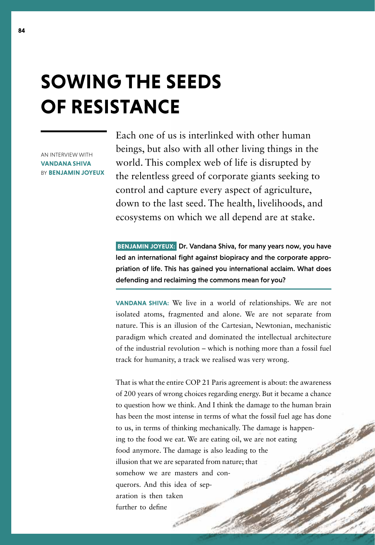# **SOWING THE SEEDS OF RESISTANCE**

AN INTERVIEW WITH **VANDANA SHIVA**  BY **BENJAMIN JOYEUX**

Each one of us is interlinked with other human beings, but also with all other living things in the world. This complex web of life is disrupted by the relentless greed of corporate giants seeking to control and capture every aspect of agriculture, down to the last seed. The health, livelihoods, and ecosystems on which we all depend are at stake.

 **BENJAMIN JOYEUX:** Dr. Vandana Shiva, for many years now, you have led an international fight against biopiracy and the corporate appropriation of life. This has gained you international acclaim. What does defending and reclaiming the commons mean for you?

**VANDANA SHIVA:** We live in a world of relationships. We are not isolated atoms, fragmented and alone. We are not separate from nature. This is an illusion of the Cartesian, Newtonian, mechanistic paradigm which created and dominated the intellectual architecture of the industrial revolution – which is nothing more than a fossil fuel track for humanity, a track we realised was very wrong.

That is what the entire COP 21 Paris agreement is about: the awareness of 200 years of wrong choices regarding energy. But it became a chance to question how we think. And I think the damage to the human brain has been the most intense in terms of what the fossil fuel age has done to us, in terms of thinking mechanically. The damage is happening to the food we eat. We are eating oil, we are not eating food anymore. The damage is also leading to the illusion that we are separated from nature; that somehow we are masters and conquerors. And this idea of separation is then taken<br>further to define further to define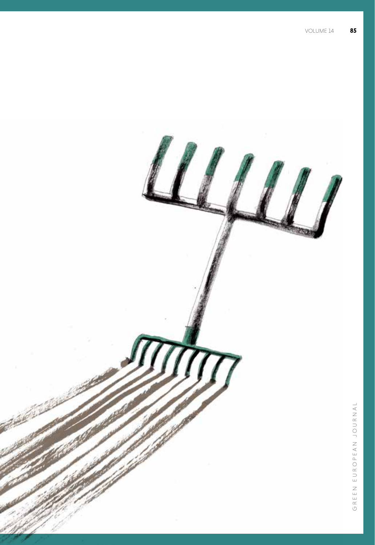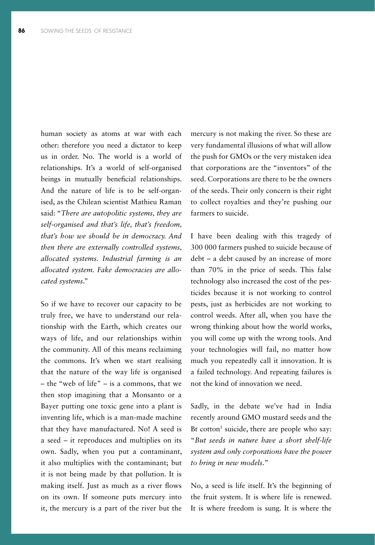human society as atoms at war with each other: therefore you need a dictator to keep us in order. No. The world is a world of relationships. It's a world of self-organised beings in mutually beneficial relationships. And the nature of life is to be self-organised, as the Chilean scientist Mathieu Raman said: "*There are autopolitic systems, they are self-organised and that's life, that's freedom, that's how we should be in democracy. And then there are externally controlled systems, allocated systems. Industrial farming is an allocated system. Fake democracies are allocated systems*."

So if we have to recover our capacity to be truly free, we have to understand our relationship with the Earth, which creates our ways of life, and our relationships within the community. All of this means reclaiming the commons. It's when we start realising that the nature of the way life is organised – the "web of life" – is a commons, that we then stop imagining that a Monsanto or a Bayer putting one toxic gene into a plant is inventing life, which is a man-made machine that they have manufactured. No! A seed is a seed – it reproduces and multiplies on its own. Sadly, when you put a contaminant, it also multiplies with the contaminant; but it is not being made by that pollution. It is making itself. Just as much as a river flows on its own. If someone puts mercury into it, the mercury is a part of the river but the

mercury is not making the river. So these are very fundamental illusions of what will allow the push for GMOs or the very mistaken idea that corporations are the "inventors" of the seed. Corporations are there to be the owners of the seeds. Their only concern is their right to collect royalties and they're pushing our farmers to suicide.

I have been dealing with this tragedy of 300 000 farmers pushed to suicide because of debt – a debt caused by an increase of more than 70% in the price of seeds. This false technology also increased the cost of the pesticides because it is not working to control pests, just as herbicides are not working to control weeds. After all, when you have the wrong thinking about how the world works, you will come up with the wrong tools. And your technologies will fail, no matter how much you repeatedly call it innovation. It is a failed technology. And repeating failures is not the kind of innovation we need.

Sadly, in the debate we've had in India recently around GMO mustard seeds and the Bt cotton<sup>1</sup> suicide, there are people who say: "*But seeds in nature have a short shelf-life system and only corporations have the power to bring in new models.*"

No, a seed is life itself. It's the beginning of the fruit system. It is where life is renewed. It is where freedom is sung. It is where the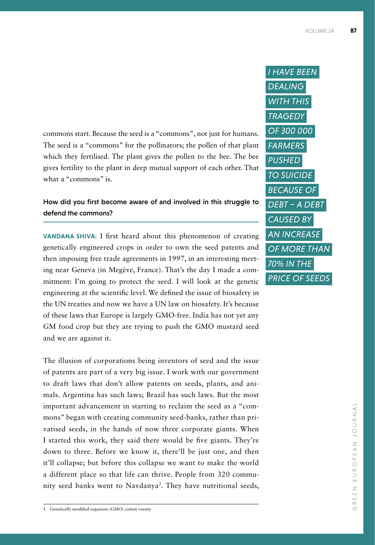commons start. Because the seed is a "commons", not just for humans. The seed is a "commons" for the pollinators; the pollen of that plant which they fertilised. The plant gives the pollen to the bee. The bee gives fertility to the plant in deep mutual support of each other. That what a "commons" is.

## How did you first become aware of and involved in this struggle to defend the commons?

**VANDANA SHIVA:** I first heard about this phenomenon of creating genetically engineered crops in order to own the seed patents and then imposing free trade agreements in 1997, in an interesting meeting near Geneva (in Megève, France). That's the day I made a commitment: I'm going to protect the seed. I will look at the genetic engineering at the scientific level. We defined the issue of biosafety in the UN treaties and now we have a UN law on biosafety. It's because of these laws that Europe is largely GMO-free. India has not yet any GM food crop but they are trying to push the GMO mustard seed and we are against it.

The illusion of corporations being inventors of seed and the issue of patents are part of a very big issue. I work with our government to draft laws that don't allow patents on seeds, plants, and animals. Argentina has such laws; Brazil has such laws. But the most important advancement in starting to reclaim the seed as a "commons" began with creating community seed-banks, rather than privatised seeds, in the hands of now three corporate giants. When I started this work, they said there would be five giants. They're down to three. Before we know it, there'll be just one, and then it'll collapse; but before this collapse we want to make the world a different place so that life can thrive. People from 320 community seed banks went to Navdanya2. They have nutritional seeds,

*I HAVE BEEN DEALING WITH THIS TRAGEDY OF 300 000 FARMERS PUSHED TO SUICIDE*  **BECAUSE OF** *DEBT – A DEBT CAUSED BY AN INCREASE OF MORE THAN 70% IN THE PRICE OF SEEDS*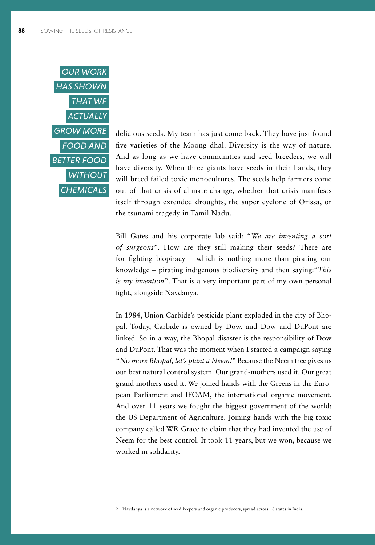

delicious seeds. My team has just come back. They have just found five varieties of the Moong dhal. Diversity is the way of nature. And as long as we have communities and seed breeders, we will have diversity. When three giants have seeds in their hands, they will breed failed toxic monocultures. The seeds help farmers come out of that crisis of climate change, whether that crisis manifests itself through extended droughts, the super cyclone of Orissa, or the tsunami tragedy in Tamil Nadu.

Bill Gates and his corporate lab said: "*We are inventing a sort of surgeons*". How are they still making their seeds? There are for fighting biopiracy – which is nothing more than pirating our knowledge – pirating indigenous biodiversity and then saying:"*This is my invention*". That is a very important part of my own personal fight, alongside Navdanya.

In 1984, Union Carbide's pesticide plant exploded in the city of Bhopal. Today, Carbide is owned by Dow, and Dow and DuPont are linked. So in a way, the Bhopal disaster is the responsibility of Dow and DuPont. That was the moment when I started a campaign saying "*No more Bhopal, let's plant a Neem!*" Because the Neem tree gives us our best natural control system. Our grand-mothers used it. Our great grand-mothers used it. We joined hands with the Greens in the European Parliament and IFOAM, the international organic movement. And over 11 years we fought the biggest government of the world: the US Department of Agriculture. Joining hands with the big toxic company called WR Grace to claim that they had invented the use of Neem for the best control. It took 11 years, but we won, because we worked in solidarity.

<sup>2</sup> Navdanya is a network of seed keepers and organic producers, spread across 18 states in India.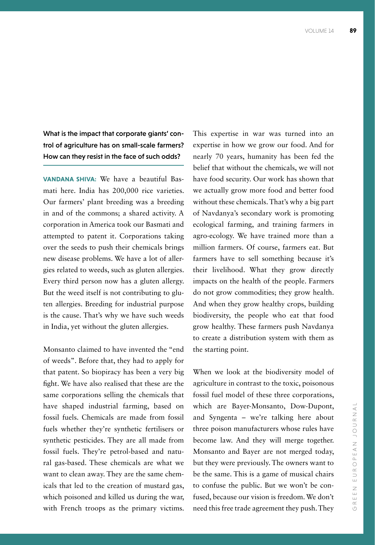What is the impact that corporate giants' control of agriculture has on small-scale farmers? How can they resist in the face of such odds?

**VANDANA SHIVA:** We have a beautiful Basmati here. India has 200,000 rice varieties. Our farmers' plant breeding was a breeding in and of the commons; a shared activity. A corporation in America took our Basmati and attempted to patent it. Corporations taking over the seeds to push their chemicals brings new disease problems. We have a lot of allergies related to weeds, such as gluten allergies. Every third person now has a gluten allergy. But the weed itself is not contributing to gluten allergies. Breeding for industrial purpose is the cause. That's why we have such weeds in India, yet without the gluten allergies.

Monsanto claimed to have invented the "end of weeds". Before that, they had to apply for that patent. So biopiracy has been a very big fight. We have also realised that these are the same corporations selling the chemicals that have shaped industrial farming, based on fossil fuels. Chemicals are made from fossil fuels whether they're synthetic fertilisers or synthetic pesticides. They are all made from fossil fuels. They're petrol-based and natural gas-based. These chemicals are what we want to clean away. They are the same chemicals that led to the creation of mustard gas, which poisoned and killed us during the war, with French troops as the primary victims.

This expertise in war was turned into an expertise in how we grow our food. And for nearly 70 years, humanity has been fed the belief that without the chemicals, we will not have food security. Our work has shown that we actually grow more food and better food without these chemicals. That's why a big part of Navdanya's secondary work is promoting ecological farming, and training farmers in agro-ecology. We have trained more than a million farmers. Of course, farmers eat. But farmers have to sell something because it's their livelihood. What they grow directly impacts on the health of the people. Farmers do not grow commodities; they grow health. And when they grow healthy crops, building biodiversity, the people who eat that food grow healthy. These farmers push Navdanya to create a distribution system with them as the starting point.

When we look at the biodiversity model of agriculture in contrast to the toxic, poisonous fossil fuel model of these three corporations, which are Bayer-Monsanto, Dow-Dupont, and Syngenta – we're talking here about three poison manufacturers whose rules have become law. And they will merge together. Monsanto and Bayer are not merged today, but they were previously. The owners want to be the same. This is a game of musical chairs to confuse the public. But we won't be confused, because our vision is freedom. We don't need this free trade agreement they push. They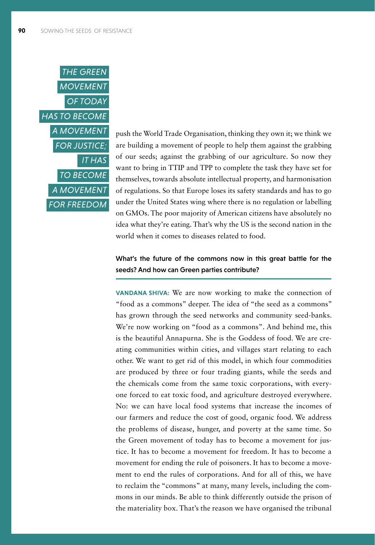

push the World Trade Organisation, thinking they own it; we think we are building a movement of people to help them against the grabbing of our seeds; against the grabbing of our agriculture. So now they want to bring in TTIP and TPP to complete the task they have set for themselves, towards absolute intellectual property, and harmonisation of regulations. So that Europe loses its safety standards and has to go under the United States wing where there is no regulation or labelling on GMOs. The poor majority of American citizens have absolutely no idea what they're eating. That's why the US is the second nation in the world when it comes to diseases related to food.

## What's the future of the commons now in this great battle for the seeds? And how can Green parties contribute?

**VANDANA SHIVA:** We are now working to make the connection of "food as a commons" deeper. The idea of "the seed as a commons" has grown through the seed networks and community seed-banks. We're now working on "food as a commons". And behind me, this is the beautiful Annapurna. She is the Goddess of food. We are creating communities within cities, and villages start relating to each other. We want to get rid of this model, in which four commodities are produced by three or four trading giants, while the seeds and the chemicals come from the same toxic corporations, with everyone forced to eat toxic food, and agriculture destroyed everywhere. No: we can have local food systems that increase the incomes of our farmers and reduce the cost of good, organic food. We address the problems of disease, hunger, and poverty at the same time. So the Green movement of today has to become a movement for justice. It has to become a movement for freedom. It has to become a movement for ending the rule of poisoners. It has to become a movement to end the rules of corporations. And for all of this, we have to reclaim the "commons" at many, many levels, including the commons in our minds. Be able to think differently outside the prison of the materiality box. That's the reason we have organised the tribunal